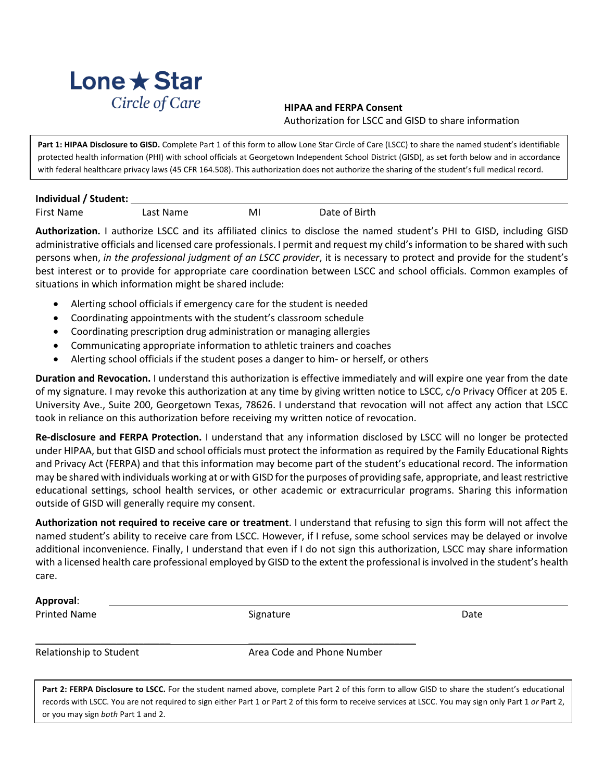

## **HIPAA and FERPA Consent** Authorization for LSCC and GISD to share information

**Part 1: HIPAA Disclosure to GISD.** Complete Part 1 of this form to allow Lone Star Circle of Care (LSCC) to share the named student's identifiable protected health information (PHI) with school officials at Georgetown Independent School District (GISD), as set forth below and in accordance with federal healthcare privacy laws (45 CFR 164.508). This authorization does not authorize the sharing of the student's full medical record.

| Individual / Student: |           |    |               |  |
|-----------------------|-----------|----|---------------|--|
| First Name            | Last Name | MI | Date of Birth |  |

**Authorization.** I authorize LSCC and its affiliated clinics to disclose the named student's PHI to GISD, including GISD administrative officials and licensed care professionals. I permit and request my child's information to be shared with such persons when, *in the professional judgment of an LSCC provider*, it is necessary to protect and provide for the student's best interest or to provide for appropriate care coordination between LSCC and school officials. Common examples of situations in which information might be shared include:

- Alerting school officials if emergency care for the student is needed
- Coordinating appointments with the student's classroom schedule
- Coordinating prescription drug administration or managing allergies
- Communicating appropriate information to athletic trainers and coaches
- Alerting school officials if the student poses a danger to him- or herself, or others

**Duration and Revocation.** I understand this authorization is effective immediately and will expire one year from the date of my signature. I may revoke this authorization at any time by giving written notice to LSCC, c/o Privacy Officer at 205 E. University Ave., Suite 200, Georgetown Texas, 78626. I understand that revocation will not affect any action that LSCC took in reliance on this authorization before receiving my written notice of revocation.

**Re-disclosure and FERPA Protection.** I understand that any information disclosed by LSCC will no longer be protected under HIPAA, but that GISD and school officials must protect the information as required by the Family Educational Rights and Privacy Act (FERPA) and that this information may become part of the student's educational record. The information may be shared with individuals working at or with GISD for the purposes of providing safe, appropriate, and least restrictive educational settings, school health services, or other academic or extracurricular programs. Sharing this information outside of GISD will generally require my consent.

**Authorization not required to receive care or treatment**. I understand that refusing to sign this form will not affect the named student's ability to receive care from LSCC. However, if I refuse, some school services may be delayed or involve additional inconvenience. Finally, I understand that even if I do not sign this authorization, LSCC may share information with a licensed health care professional employed by GISD to the extent the professional is involved in the student's health care.

| Approval:           |           |      |
|---------------------|-----------|------|
| <b>Printed Name</b> | Signature | Date |
|                     |           |      |

Relationship to Student Area Code and Phone Number

**Part 2: FERPA Disclosure to LSCC.** For the student named above, complete Part 2 of this form to allow GISD to share the student's educational records with LSCC. You are not required to sign either Part 1 or Part 2 of this form to receive services at LSCC. You may sign only Part 1 *or* Part 2, or you may sign *both* Part 1 and 2.